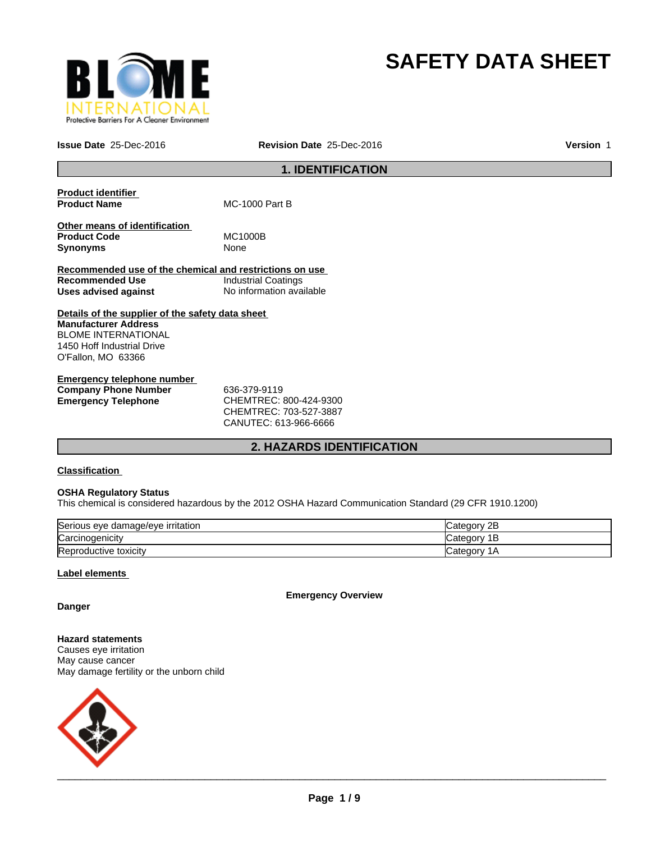

# **SAFETY DATA SHEET**

**Issue Date** 25-Dec-2016 **Revision Date** 25-Dec-2016 **Version** 1

# **1. IDENTIFICATION**

| <b>Product identifier</b><br><b>Product Name</b>                        | <b>MC-1000 Part B</b>    |
|-------------------------------------------------------------------------|--------------------------|
| Other means of identification<br><b>Product Code</b><br><b>Synonyms</b> | MC1000B<br>None          |
| Recommended use of the chemical and restrictions on use                 |                          |
| Recommended Use                                                         | Industrial Coatings      |
| Uses advised against                                                    | No information available |
| Details of the supplier of the safety data sheet                        |                          |
| <b>Manufacturer Address</b>                                             |                          |
| <b>BLOME INTERNATIONAL</b>                                              |                          |
| 1450 Hoff Industrial Drive                                              |                          |
| O'Fallon, MO 63366                                                      |                          |
|                                                                         |                          |

**Emergency telephone number Company Phone Number** 636-379-9119 **Emergency Telephone** CHEMTREC: 800-424-9300

CHEMTREC: 703-527-3887 CANUTEC: 613-966-6666

# **2. HAZARDS IDENTIFICATION**

### **Classification**

#### **OSHA Regulatory Status**

This chemical is considered hazardous by the 2012 OSHA Hazard Communication Standard (29 CFR 1910.1200)

| Serious eye damage/eye irritation | 2B<br>∵ategorٽ |
|-----------------------------------|----------------|
| Carcinogenicity                   | ıΒ             |
| Reproductive toxicity             | Categor<br>١A  |

### **Label elements**

**Emergency Overview**

**Danger**

**Hazard statements** Causes eye irritation May cause cancer May damage fertility or the unborn child

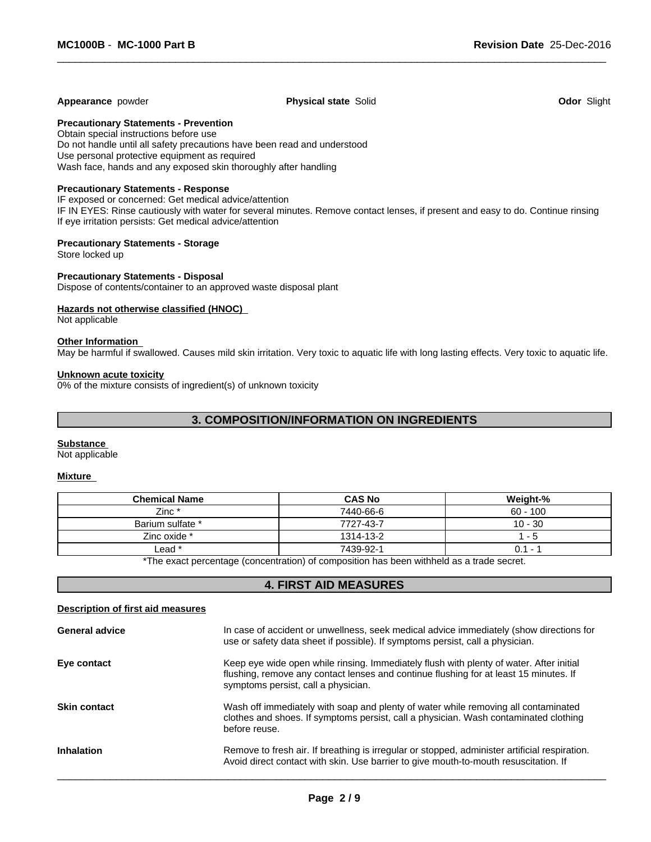#### **Appearance** powder **Physical state** Solid **Odor** Slight

 $\overline{\phantom{a}}$  ,  $\overline{\phantom{a}}$  ,  $\overline{\phantom{a}}$  ,  $\overline{\phantom{a}}$  ,  $\overline{\phantom{a}}$  ,  $\overline{\phantom{a}}$  ,  $\overline{\phantom{a}}$  ,  $\overline{\phantom{a}}$  ,  $\overline{\phantom{a}}$  ,  $\overline{\phantom{a}}$  ,  $\overline{\phantom{a}}$  ,  $\overline{\phantom{a}}$  ,  $\overline{\phantom{a}}$  ,  $\overline{\phantom{a}}$  ,  $\overline{\phantom{a}}$  ,  $\overline{\phantom{a}}$ 

#### **Precautionary Statements - Prevention**

Obtain special instructions before use Do not handle until all safety precautions have been read and understood Use personal protective equipment as required Wash face, hands and any exposed skin thoroughly after handling

#### **Precautionary Statements - Response**

IF exposed or concerned: Get medical advice/attention

IF IN EYES: Rinse cautiously with water for several minutes. Remove contact lenses, if present and easy to do. Continue rinsing If eye irritation persists: Get medical advice/attention

#### **Precautionary Statements - Storage**

Store locked up

#### **Precautionary Statements - Disposal**

Dispose of contents/container to an approved waste disposal plant

#### **Hazards not otherwise classified (HNOC)**

Not applicable

#### **Other Information**

May be harmful if swallowed. Causes mild skin irritation. Very toxic to aquatic life with long lasting effects. Very toxic to aquatic life.

#### **Unknown acute toxicity**

0% of the mixture consists of ingredient(s) of unknown toxicity

# **3. COMPOSITION/INFORMATION ON INGREDIENTS**

#### **Substance**

Not applicable

#### **Mixture**

| <b>Chemical Name</b>                                                                      | <b>CAS No</b> | Weight-%   |  |
|-------------------------------------------------------------------------------------------|---------------|------------|--|
| $Zinc*$                                                                                   | 7440-66-6     | $60 - 100$ |  |
| Barium sulfate *                                                                          | 7727-43-7     | $10 - 30$  |  |
| Zinc oxide *                                                                              | 1314-13-2     | - 5        |  |
| Lead *                                                                                    | 7439-92-1     | $0.1 -$    |  |
| *The except perceptage (approximation) of composition has been withheld as a trade accord |               |            |  |

The exact percentage (concentration) of composition has been withheld as a trade secret.

# **4. FIRST AID MEASURES**

#### **Description of first aid measures**

| <b>General advice</b> | In case of accident or unwellness, seek medical advice immediately (show directions for<br>use or safety data sheet if possible). If symptoms persist, call a physician.                                                |
|-----------------------|-------------------------------------------------------------------------------------------------------------------------------------------------------------------------------------------------------------------------|
| Eye contact           | Keep eye wide open while rinsing. Immediately flush with plenty of water. After initial<br>flushing, remove any contact lenses and continue flushing for at least 15 minutes. If<br>symptoms persist, call a physician. |
| <b>Skin contact</b>   | Wash off immediately with soap and plenty of water while removing all contaminated<br>clothes and shoes. If symptoms persist, call a physician. Wash contaminated clothing<br>before reuse.                             |
| <b>Inhalation</b>     | Remove to fresh air. If breathing is irregular or stopped, administer artificial respiration.<br>Avoid direct contact with skin. Use barrier to give mouth-to-mouth resuscitation. If                                   |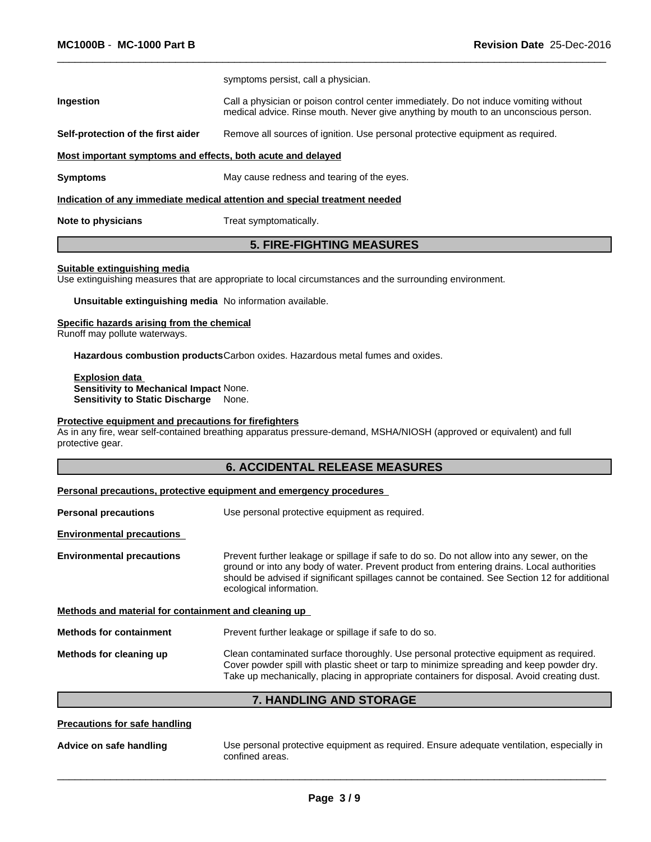|                                                                                                                      | symptoms persist, call a physician.                                                                                                                                          |  |  |  |  |  |
|----------------------------------------------------------------------------------------------------------------------|------------------------------------------------------------------------------------------------------------------------------------------------------------------------------|--|--|--|--|--|
| Ingestion                                                                                                            | Call a physician or poison control center immediately. Do not induce vomiting without<br>medical advice. Rinse mouth. Never give anything by mouth to an unconscious person. |  |  |  |  |  |
| Remove all sources of ignition. Use personal protective equipment as required.<br>Self-protection of the first aider |                                                                                                                                                                              |  |  |  |  |  |
|                                                                                                                      | Most important symptoms and effects, both acute and delayed                                                                                                                  |  |  |  |  |  |
| Symptoms                                                                                                             | May cause redness and tearing of the eyes.                                                                                                                                   |  |  |  |  |  |
| Indication of any immediate medical attention and special treatment needed                                           |                                                                                                                                                                              |  |  |  |  |  |
| <b>Note to physicians</b>                                                                                            | Treat symptomatically.                                                                                                                                                       |  |  |  |  |  |

 $\overline{\phantom{a}}$  ,  $\overline{\phantom{a}}$  ,  $\overline{\phantom{a}}$  ,  $\overline{\phantom{a}}$  ,  $\overline{\phantom{a}}$  ,  $\overline{\phantom{a}}$  ,  $\overline{\phantom{a}}$  ,  $\overline{\phantom{a}}$  ,  $\overline{\phantom{a}}$  ,  $\overline{\phantom{a}}$  ,  $\overline{\phantom{a}}$  ,  $\overline{\phantom{a}}$  ,  $\overline{\phantom{a}}$  ,  $\overline{\phantom{a}}$  ,  $\overline{\phantom{a}}$  ,  $\overline{\phantom{a}}$ 

## **5. FIRE-FIGHTING MEASURES**

#### **Suitable extinguishing media**

Use extinguishing measures that are appropriate to local circumstances and the surrounding environment.

**Unsuitable extinguishing media** No information available.

#### **Specific hazards arising from the chemical**

Runoff may pollute waterways.

**Hazardous combustion products**Carbon oxides. Hazardous metal fumes and oxides.

**Explosion data Sensitivity to Mechanical Impact** None. **Sensitivity to Static Discharge** None.

### **Protective equipment and precautions for firefighters**

As in any fire, wear self-contained breathing apparatus pressure-demand, MSHA/NIOSH (approved or equivalent) and full protective gear.

## **6. ACCIDENTAL RELEASE MEASURES**

#### **Personal precautions, protective equipment and emergency procedures**

| <b>Personal precautions</b>                          | Use personal protective equipment as required.                                                                                                                                                                                                                                                                     |  |  |
|------------------------------------------------------|--------------------------------------------------------------------------------------------------------------------------------------------------------------------------------------------------------------------------------------------------------------------------------------------------------------------|--|--|
| <b>Environmental precautions</b>                     |                                                                                                                                                                                                                                                                                                                    |  |  |
| <b>Environmental precautions</b>                     | Prevent further leakage or spillage if safe to do so. Do not allow into any sewer, on the<br>ground or into any body of water. Prevent product from entering drains. Local authorities<br>should be advised if significant spillages cannot be contained. See Section 12 for additional<br>ecological information. |  |  |
| Methods and material for containment and cleaning up |                                                                                                                                                                                                                                                                                                                    |  |  |
| <b>Methods for containment</b>                       | Prevent further leakage or spillage if safe to do so.                                                                                                                                                                                                                                                              |  |  |
| Methods for cleaning up                              | Clean contaminated surface thoroughly. Use personal protective equipment as required.<br>Cover powder spill with plastic sheet or tarp to minimize spreading and keep powder dry.                                                                                                                                  |  |  |

### **7. HANDLING AND STORAGE**

Take up mechanically, placing in appropriate containers for disposal. Avoid creating dust.

| Use personal protective equipment as required. Ensure adequate ventilation, especially in<br>confined areas. |
|--------------------------------------------------------------------------------------------------------------|
|                                                                                                              |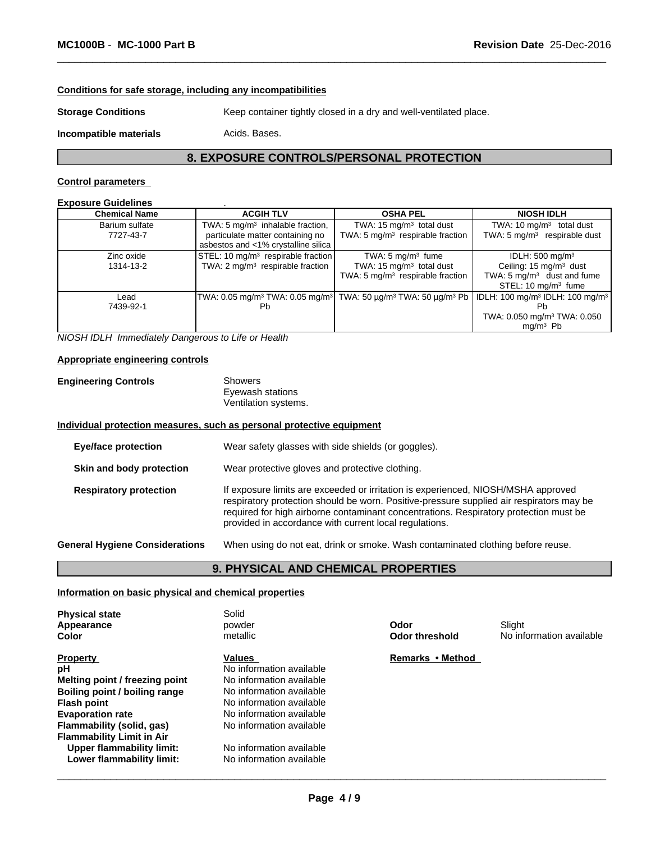## **Conditions for safe storage, including any incompatibilities**

**Storage Conditions** Keep container tightly closed in a dry and well-ventilated place.

**Incompatible materials Acids. Bases.** 

# **8. EXPOSURE CONTROLS/PERSONAL PROTECTION**

 $\overline{\phantom{a}}$  ,  $\overline{\phantom{a}}$  ,  $\overline{\phantom{a}}$  ,  $\overline{\phantom{a}}$  ,  $\overline{\phantom{a}}$  ,  $\overline{\phantom{a}}$  ,  $\overline{\phantom{a}}$  ,  $\overline{\phantom{a}}$  ,  $\overline{\phantom{a}}$  ,  $\overline{\phantom{a}}$  ,  $\overline{\phantom{a}}$  ,  $\overline{\phantom{a}}$  ,  $\overline{\phantom{a}}$  ,  $\overline{\phantom{a}}$  ,  $\overline{\phantom{a}}$  ,  $\overline{\phantom{a}}$ 

#### **Control parameters**

| <b>Chemical Name</b>        | <b>ACGIH TLV</b>                                                                                                       | <b>OSHA PEL</b>                                                                                           | <b>NIOSH IDLH</b>                                                                                                                             |
|-----------------------------|------------------------------------------------------------------------------------------------------------------------|-----------------------------------------------------------------------------------------------------------|-----------------------------------------------------------------------------------------------------------------------------------------------|
| Barium sulfate<br>7727-43-7 | TWA: 5 $mg/m3$ inhalable fraction,<br>particulate matter containing no<br>asbestos and <1% crystalline silica          | TWA: 15 mg/m <sup>3</sup> total dust<br>TWA: 5 $mg/m3$ respirable fraction                                | TWA: $10 \text{ mg/m}^3$ total dust<br>TWA: 5 mg/m <sup>3</sup> respirable dust                                                               |
| Zinc oxide<br>1314-13-2     | STEL: 10 mg/m <sup>3</sup> respirable fraction<br>TWA: $2 \text{ mg/m}^3$ respirable fraction                          | TWA: $5 \text{ mg/m}^3$ fume<br>TWA: $15 \text{ mg/m}^3$ total dust<br>TWA: 5 $mg/m3$ respirable fraction | IDLH: 500 mg/m <sup>3</sup><br>Ceiling: 15 mg/m <sup>3</sup> dust<br>TWA: 5 mg/m <sup>3</sup> dust and fume<br>STEL: $10 \text{ mg/m}^3$ fume |
| Lead<br>7439-92-1           | TWA: 0.05 mg/m <sup>3</sup> TWA: 0.05 mg/m <sup>3</sup>   TWA: 50 µg/m <sup>3</sup> TWA: 50 µg/m <sup>3</sup> Pb<br>Pb |                                                                                                           | IDLH: 100 mg/m <sup>3</sup> IDLH: 100 mg/m <sup>3</sup><br>Рh<br>TWA: 0.050 mg/m <sup>3</sup> TWA: 0.050<br>$ma/m3$ Pb                        |

*NIOSH IDLH Immediately Dangerous to Life or Health*

#### **Appropriate engineering controls**

| <b>Engineering Controls</b> | Showers              |  |
|-----------------------------|----------------------|--|
|                             | Eyewash stations     |  |
|                             | Ventilation systems. |  |

### **Individual protection measures, such as personal protective equipment**

| <b>Eye/face protection</b> |                                       | Wear safety glasses with side shields (or goggles).                                                                                                                                                                                                                                                                              |
|----------------------------|---------------------------------------|----------------------------------------------------------------------------------------------------------------------------------------------------------------------------------------------------------------------------------------------------------------------------------------------------------------------------------|
|                            | Skin and body protection              | Wear protective gloves and protective clothing.                                                                                                                                                                                                                                                                                  |
|                            | <b>Respiratory protection</b>         | If exposure limits are exceeded or irritation is experienced, NIOSH/MSHA approved<br>respiratory protection should be worn. Positive-pressure supplied air respirators may be<br>required for high airborne contaminant concentrations. Respiratory protection must be<br>provided in accordance with current local regulations. |
|                            | <b>General Hygiene Considerations</b> | When using do not eat, drink or smoke. Wash contaminated clothing before reuse.                                                                                                                                                                                                                                                  |

# **9. PHYSICAL AND CHEMICAL PROPERTIES**

#### **Information on basic physical and chemical properties**

| <b>Physical state</b><br>Appearance<br><b>Color</b> | Solid<br>powder<br>metallic | Odor<br>Odor threshold | Slight<br>No information available |
|-----------------------------------------------------|-----------------------------|------------------------|------------------------------------|
| <b>Property</b>                                     | Values                      | Remarks • Method       |                                    |
| рH                                                  | No information available    |                        |                                    |
| Melting point / freezing point                      | No information available    |                        |                                    |
| Boiling point / boiling range                       | No information available    |                        |                                    |
| <b>Flash point</b>                                  | No information available    |                        |                                    |
| <b>Evaporation rate</b>                             | No information available    |                        |                                    |
| Flammability (solid, gas)                           | No information available    |                        |                                    |
| <b>Flammability Limit in Air</b>                    |                             |                        |                                    |
| Upper flammability limit:                           | No information available    |                        |                                    |
| Lower flammability limit:                           | No information available    |                        |                                    |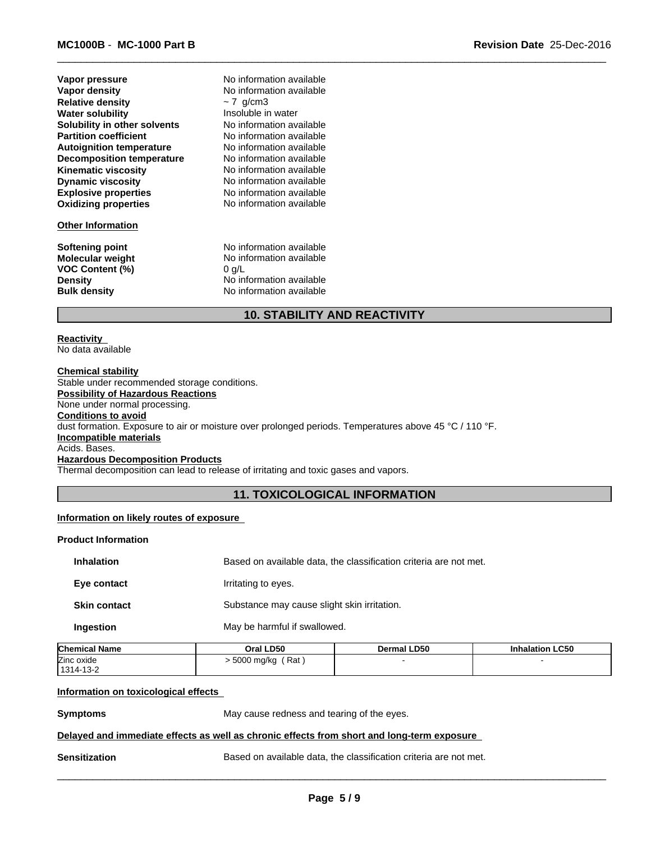| Vapor pressure                   | Ν  |
|----------------------------------|----|
| Vapor density                    | Ν  |
| <b>Relative density</b>          |    |
| <b>Water solubility</b>          | Ir |
| Solubility in other solvents     | Ν  |
| <b>Partition coefficient</b>     | Ν  |
| <b>Autoignition temperature</b>  | Ν  |
| <b>Decomposition temperature</b> | Ν  |
| <b>Kinematic viscosity</b>       | Ν  |
| <b>Dynamic viscosity</b>         | Ν  |
| <b>Explosive properties</b>      | Ν  |
| <b>Oxidizing properties</b>      | Ν  |
|                                  |    |

#### **Other Information**

**VOC Content (%)** 0 g/L

**Explosive properties** No information available **Oxidizing properties** No information available **No information available No information available No information available**  $\sim$  7 g/cm3 **No information available No information available** Insoluble in water **No information available No information available** 

No information available

**Softening point No information available**<br> **Molecular weight No information available No information available Density** No information available **Bulk density** No information available

# **10. STABILITY AND REACTIVITY**

 $\overline{\phantom{a}}$  ,  $\overline{\phantom{a}}$  ,  $\overline{\phantom{a}}$  ,  $\overline{\phantom{a}}$  ,  $\overline{\phantom{a}}$  ,  $\overline{\phantom{a}}$  ,  $\overline{\phantom{a}}$  ,  $\overline{\phantom{a}}$  ,  $\overline{\phantom{a}}$  ,  $\overline{\phantom{a}}$  ,  $\overline{\phantom{a}}$  ,  $\overline{\phantom{a}}$  ,  $\overline{\phantom{a}}$  ,  $\overline{\phantom{a}}$  ,  $\overline{\phantom{a}}$  ,  $\overline{\phantom{a}}$ 

#### **Reactivity**  No data available

**Chemical stability** Stable under recommended storage conditions. **Possibility of Hazardous Reactions** None under normal processing. **Conditions to avoid** dust formation. Exposure to air or moisture over prolonged periods. Temperatures above 45 °C / 110 °F. **Incompatible materials** Acids. Bases. **Hazardous Decomposition Products**

Thermal decomposition can lead to release of irritating and toxic gases and vapors.

# **11. TOXICOLOGICAL INFORMATION**

#### **Information on likely routes of exposure**

#### **Product Information**

| <b>Inhalation</b>   | Based on available data, the classification criteria are not met. |
|---------------------|-------------------------------------------------------------------|
| Eye contact         | Irritating to eyes.                                               |
| <b>Skin contact</b> | Substance may cause slight skin irritation.                       |
| <b>Ingestion</b>    | May be harmful if swallowed.                                      |

| <b>Chemical Name</b> | Oral LD50         | Dermal LD50 | <b>Inhalation LC50</b> |
|----------------------|-------------------|-------------|------------------------|
| Zinc oxide           | Rat<br>5000 mg/kg |             |                        |
| 1314-13-2            |                   |             |                        |

#### **Information on toxicological effects**

**Symptoms** May cause redness and tearing of the eyes.

# **Delayed and immediate effects as well as chronic effects from short and long-term exposure**

**Sensitization Based on available data, the classification criteria are not met.**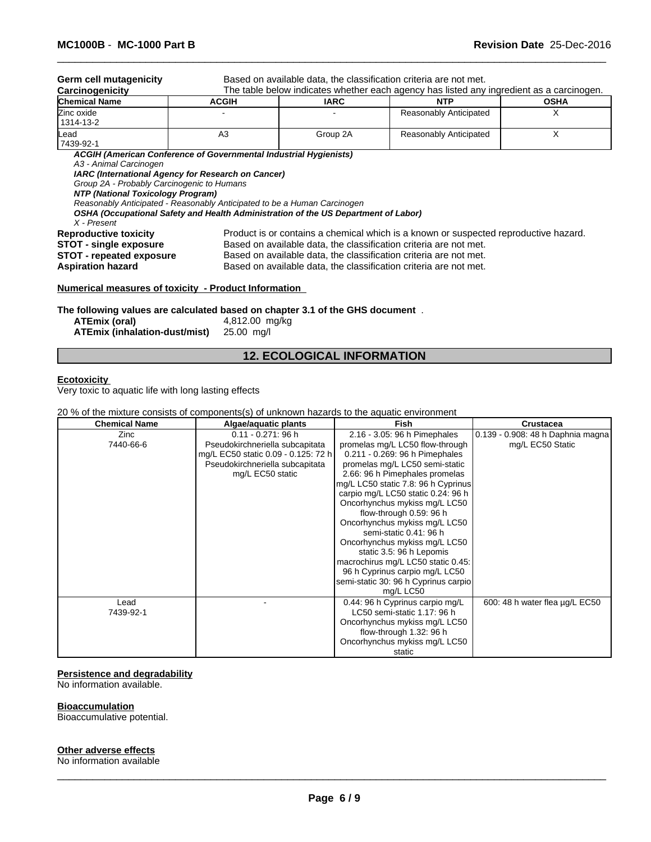Germ cell mutagenicity **Based on available data, the classification criteria are not met.** 

 $\overline{\phantom{a}}$  ,  $\overline{\phantom{a}}$  ,  $\overline{\phantom{a}}$  ,  $\overline{\phantom{a}}$  ,  $\overline{\phantom{a}}$  ,  $\overline{\phantom{a}}$  ,  $\overline{\phantom{a}}$  ,  $\overline{\phantom{a}}$  ,  $\overline{\phantom{a}}$  ,  $\overline{\phantom{a}}$  ,  $\overline{\phantom{a}}$  ,  $\overline{\phantom{a}}$  ,  $\overline{\phantom{a}}$  ,  $\overline{\phantom{a}}$  ,  $\overline{\phantom{a}}$  ,  $\overline{\phantom{a}}$ 

| Carcinogenicity           | The table below indicates whether each agency has listed any ingredient as a carcinogen. |             |                        |             |
|---------------------------|------------------------------------------------------------------------------------------|-------------|------------------------|-------------|
| <b>Chemical Name</b>      | <b>ACGIH</b>                                                                             | <b>IARC</b> | <b>NTP</b>             | <b>OSHA</b> |
| Zinc oxide<br>  1314-13-2 |                                                                                          |             | Reasonably Anticipated |             |
| Lead<br>7439-92-1         | A3                                                                                       | Group 2A    | Reasonably Anticipated |             |

*ACGIH (American Conference of Governmental Industrial Hygienists)*

*A3 - Animal Carcinogen*

*IARC (International Agency for Research on Cancer)*

*Group 2A - Probably Carcinogenic to Humans*

*NTP (National Toxicology Program)*

*Reasonably Anticipated - Reasonably Anticipated to be a Human Carcinogen*

*OSHA (Occupational Safety and Health Administration of the US Department of Labor)*

*X - Present*

**Reproductive toxicity** Product is or contains a chemical which is a known or suspected reproductive hazard.<br>**STOT - single exposure** Based on available data, the classification criteria are not met. Based on available data, the classification criteria are not met.

**STOT - repeated exposure** Based on available data, the classification criteria are not met.

**Aspiration hazard** Based on available data, the classification criteria are not met.

#### **Numerical measures of toxicity - Product Information**

**The following values are calculated based on chapter 3.1 of the GHS document** . **ATEmix (oral)** 4,812.00 mg/kg

**ATEmix (inhalation-dust/mist)** 25.00 mg/l

| ATEmix (oral) |                               |
|---------------|-------------------------------|
|               | ATEmix (inhalation-dust/mist) |

# **12. ECOLOGICAL INFORMATION**

#### **Ecotoxicity**

Very toxic to aquatic life with long lasting effects

#### 20 % of the mixture consists of components(s) of unknown hazards to the aquatic environment

| <b>Chemical Name</b> | Algae/aquatic plants                | <b>Fish</b>                          | Crustacea                         |
|----------------------|-------------------------------------|--------------------------------------|-----------------------------------|
| Zinc                 | $0.11 - 0.271$ : 96 h               | 2.16 - 3.05: 96 h Pimephales         | 0.139 - 0.908: 48 h Daphnia magna |
| 7440-66-6            | Pseudokirchneriella subcapitata     | promelas mg/L LC50 flow-through      | mg/L EC50 Static                  |
|                      | mg/L EC50 static 0.09 - 0.125: 72 h | 0.211 - 0.269: 96 h Pimephales       |                                   |
|                      | Pseudokirchneriella subcapitata     | promelas mg/L LC50 semi-static       |                                   |
|                      | mg/L EC50 static                    | 2.66: 96 h Pimephales promelas       |                                   |
|                      |                                     | mg/L LC50 static 7.8: 96 h Cyprinus  |                                   |
|                      |                                     | carpio mg/L LC50 static 0.24: 96 h   |                                   |
|                      |                                     | Oncorhynchus mykiss mg/L LC50        |                                   |
|                      |                                     | flow-through 0.59: 96 h              |                                   |
|                      |                                     | Oncorhynchus mykiss mg/L LC50        |                                   |
|                      |                                     | semi-static 0.41: 96 h               |                                   |
|                      |                                     | Oncorhynchus mykiss mg/L LC50        |                                   |
|                      |                                     | static 3.5: 96 h Lepomis             |                                   |
|                      |                                     | macrochirus mg/L LC50 static 0.45:   |                                   |
|                      |                                     | 96 h Cyprinus carpio mg/L LC50       |                                   |
|                      |                                     | semi-static 30: 96 h Cyprinus carpio |                                   |
|                      |                                     | mg/L LC50                            |                                   |
| Lead                 |                                     | 0.44: 96 h Cyprinus carpio mg/L      | 600: 48 h water flea ug/L EC50    |
| 7439-92-1            |                                     | LC50 semi-static 1.17: 96 h          |                                   |
|                      |                                     | Oncorhynchus mykiss mg/L LC50        |                                   |
|                      |                                     | flow-through 1.32: 96 h              |                                   |
|                      |                                     | Oncorhynchus mykiss mg/L LC50        |                                   |
|                      |                                     | static                               |                                   |

#### **Persistence and degradability**

No information available.

#### **Bioaccumulation**

Bioaccumulative potential.

#### **Other adverse effects**

No information available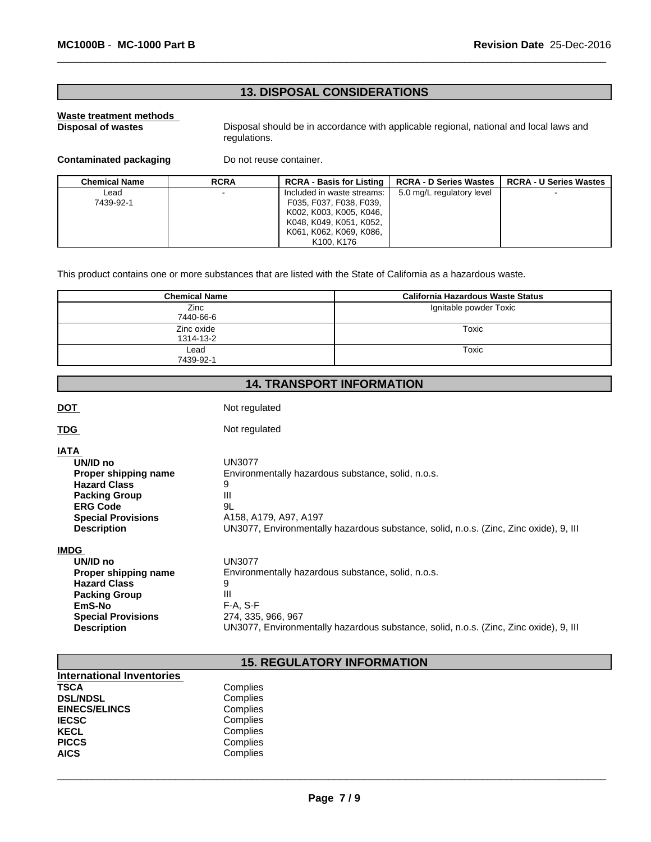# **13. DISPOSAL CONSIDERATIONS**

# **Waste treatment methods**

Disposal should be in accordance with applicable regional, national and local laws and regulations.

 $\overline{\phantom{a}}$  ,  $\overline{\phantom{a}}$  ,  $\overline{\phantom{a}}$  ,  $\overline{\phantom{a}}$  ,  $\overline{\phantom{a}}$  ,  $\overline{\phantom{a}}$  ,  $\overline{\phantom{a}}$  ,  $\overline{\phantom{a}}$  ,  $\overline{\phantom{a}}$  ,  $\overline{\phantom{a}}$  ,  $\overline{\phantom{a}}$  ,  $\overline{\phantom{a}}$  ,  $\overline{\phantom{a}}$  ,  $\overline{\phantom{a}}$  ,  $\overline{\phantom{a}}$  ,  $\overline{\phantom{a}}$ 

### **Contaminated packaging** Do not reuse container.

| <b>Chemical Name</b> | <b>RCRA</b>              | <b>RCRA - Basis for Listing</b> | <b>RCRA - D Series Wastes</b> | <b>RCRA - U Series Wastes</b> |
|----------------------|--------------------------|---------------------------------|-------------------------------|-------------------------------|
| Lead.                | $\overline{\phantom{a}}$ | Included in waste streams:      | 5.0 mg/L regulatory level     | $\overline{\phantom{a}}$      |
| 7439-92-1            |                          | F035, F037, F038, F039,         |                               |                               |
|                      |                          | K002, K003, K005, K046,         |                               |                               |
|                      |                          | K048, K049, K051, K052,         |                               |                               |
|                      |                          | K061, K062, K069, K086,         |                               |                               |
|                      |                          | K100, K176                      |                               |                               |

This product contains one or more substances that are listed with the State of California as a hazardous waste.

| <b>Chemical Name</b> | California Hazardous Waste Status |
|----------------------|-----------------------------------|
| Zinc                 | Ignitable powder Toxic            |
| 7440-66-6            |                                   |
| Zinc oxide           | Toxic                             |
| 1314-13-2            |                                   |
| Lead                 | Toxic                             |
| 7439-92-1            |                                   |

# **14. TRANSPORT INFORMATION**

DOT Not regulated

TDG **Not regulated** 

| <b>IATA</b>               |                                                                                       |
|---------------------------|---------------------------------------------------------------------------------------|
| UN/ID no                  | <b>UN3077</b>                                                                         |
| Proper shipping name      | Environmentally hazardous substance, solid, n.o.s.                                    |
| <b>Hazard Class</b>       | 9                                                                                     |
| <b>Packing Group</b>      | Ш                                                                                     |
| <b>ERG Code</b>           | 9L                                                                                    |
| <b>Special Provisions</b> | A158, A179, A97, A197                                                                 |
| <b>Description</b>        | UN3077, Environmentally hazardous substance, solid, n.o.s. (Zinc, Zinc oxide), 9, III |
|                           |                                                                                       |

**IMDG** 

| <u> تالا</u>              |                                                                                       |
|---------------------------|---------------------------------------------------------------------------------------|
| UN/ID no                  | UN3077                                                                                |
| Proper shipping name      | Environmentally hazardous substance, solid, n.o.s.                                    |
| <b>Hazard Class</b>       | 9                                                                                     |
| <b>Packing Group</b>      | Ш                                                                                     |
| EmS-No                    | $F-A. S-F$                                                                            |
| <b>Special Provisions</b> | 274. 335. 966. 967                                                                    |
| <b>Description</b>        | UN3077, Environmentally hazardous substance, solid, n.o.s. (Zinc, Zinc oxide), 9, III |

# **15. REGULATORY INFORMATION**

| International Inventories |          |  |
|---------------------------|----------|--|
| <b>TSCA</b>               | Complies |  |
| <b>DSL/NDSL</b>           | Complies |  |
| <b>EINECS/ELINCS</b>      | Complies |  |
| <b>IECSC</b>              | Complies |  |
| <b>KECL</b>               | Complies |  |
| <b>PICCS</b>              | Complies |  |
| <b>AICS</b>               | Complies |  |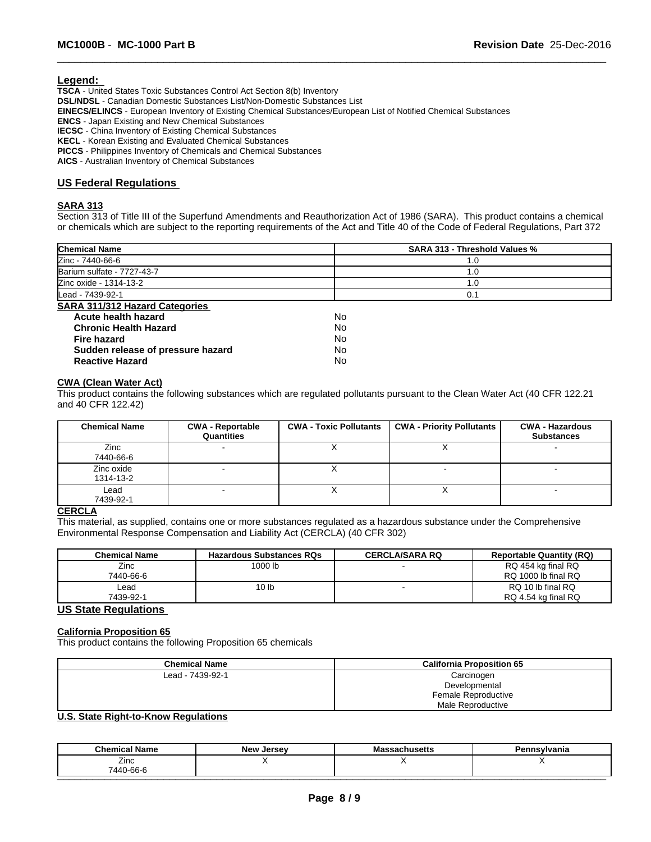#### **Legend:**

**TSCA** - United States Toxic Substances Control Act Section 8(b) Inventory **DSL/NDSL** - Canadian Domestic Substances List/Non-Domestic Substances List **EINECS/ELINCS** - European Inventory of Existing Chemical Substances/European List of Notified Chemical Substances **ENCS** - Japan Existing and New Chemical Substances **IECSC** - China Inventory of Existing Chemical Substances **KECL** - Korean Existing and Evaluated Chemical Substances **PICCS** - Philippines Inventory of Chemicals and Chemical Substances **AICS** - Australian Inventory of Chemical Substances

#### **US Federal Regulations**

#### **SARA 313**

Section 313 of Title III of the Superfund Amendments and Reauthorization Act of 1986 (SARA). This product contains a chemical or chemicals which are subject to the reporting requirements of the Act and Title 40 of the Code of Federal Regulations, Part 372

 $\overline{\phantom{a}}$  ,  $\overline{\phantom{a}}$  ,  $\overline{\phantom{a}}$  ,  $\overline{\phantom{a}}$  ,  $\overline{\phantom{a}}$  ,  $\overline{\phantom{a}}$  ,  $\overline{\phantom{a}}$  ,  $\overline{\phantom{a}}$  ,  $\overline{\phantom{a}}$  ,  $\overline{\phantom{a}}$  ,  $\overline{\phantom{a}}$  ,  $\overline{\phantom{a}}$  ,  $\overline{\phantom{a}}$  ,  $\overline{\phantom{a}}$  ,  $\overline{\phantom{a}}$  ,  $\overline{\phantom{a}}$ 

| <b>Chemical Name</b>                  | <b>SARA 313 - Threshold Values %</b> |
|---------------------------------------|--------------------------------------|
| Zinc - 7440-66-6                      | 1.0                                  |
| Barium sulfate - 7727-43-7            | 1.0                                  |
| Zinc oxide - 1314-13-2                | $\cdot$ .0                           |
| Lead - 7439-92-1                      | 0.1                                  |
| <b>SARA 311/312 Hazard Categories</b> |                                      |
| Acute health hazard                   | No                                   |
| <b>Chronic Health Hazard</b>          | No                                   |
| <b>Fire hazard</b>                    | No                                   |
| Sudden release of pressure hazard     | No                                   |
| <b>Reactive Hazard</b>                | No                                   |

#### **CWA (Clean Water Act)**

This product contains the following substances which are regulated pollutants pursuant to the Clean Water Act (40 CFR 122.21 and 40 CFR 122.42)

| <b>Chemical Name</b>    | <b>CWA - Reportable</b><br>Quantities | <b>CWA - Toxic Pollutants</b> | <b>CWA - Priority Pollutants</b> | <b>CWA - Hazardous</b><br><b>Substances</b> |
|-------------------------|---------------------------------------|-------------------------------|----------------------------------|---------------------------------------------|
| Zinc<br>7440-66-6       |                                       |                               |                                  |                                             |
| Zinc oxide<br>1314-13-2 |                                       |                               |                                  |                                             |
| Lead<br>7439-92-1       |                                       |                               |                                  |                                             |

#### **CERCLA**

This material, as supplied, contains one or more substances regulated as a hazardous substance under the Comprehensive Environmental Response Compensation and Liability Act (CERCLA) (40 CFR 302)

| <b>Chemical Name</b> | <b>Hazardous Substances RQs</b> | <b>CERCLA/SARA RQ</b> | <b>Reportable Quantity (RQ)</b>           |
|----------------------|---------------------------------|-----------------------|-------------------------------------------|
| Zinc<br>7440-66-6    | 1000 lb                         |                       | RQ 454 kg final RQ<br>RQ 1000 lb final RQ |
| ∟ead<br>7439-92-1    | 10 <sub>1b</sub>                |                       | RQ 10 lb final RQ<br>RQ 4.54 kg final RQ  |

# **US State Regulations**

#### **California Proposition 65**

This product contains the following Proposition 65 chemicals

| <b>Chemical Name</b>          | <b>California Proposition 65</b> |
|-------------------------------|----------------------------------|
| Lead - 7439-92-1              | Carcinogen                       |
|                               | Developmental                    |
|                               | Female Reproductive              |
|                               | Male Reproductive                |
| $\mathbf{H} \cdot \mathbf{A}$ |                                  |

#### **U.S. State Right-to-Know Regulations**

| <b>Chemical Name</b>    | New,<br>. Jersev | --<br>Massachusetts | Pennsvlvania |
|-------------------------|------------------|---------------------|--------------|
| --<br>∠inc<br>7440-66-6 |                  |                     |              |